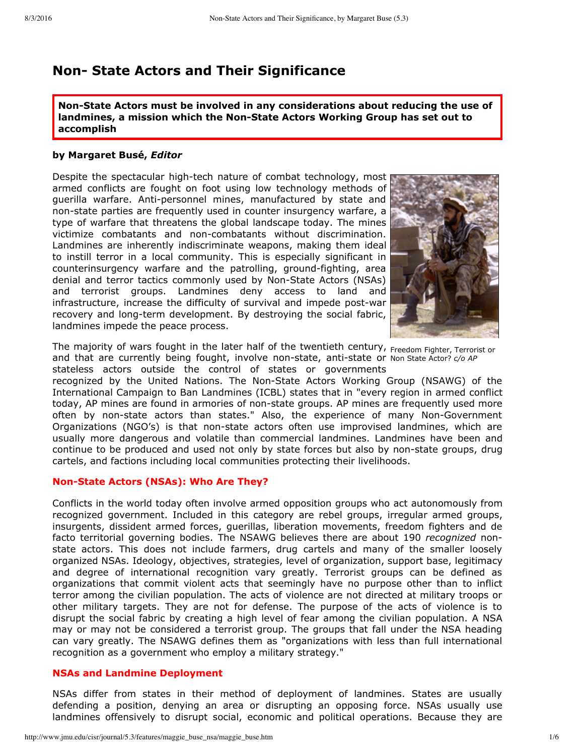# **Non State Actors and Their Significance**

**NonState Actors must be involved in any considerations about reducing the use of landmines, a mission which the NonState Actors Working Group has set out to accomplish**

#### **by Margaret Busé,** *Editor*

Despite the spectacular high-tech nature of combat technology, most armed conflicts are fought on foot using low technology methods of guerilla warfare. Anti-personnel mines, manufactured by state and non-state parties are frequently used in counter insurgency warfare, a type of warfare that threatens the global landscape today. The mines victimize combatants and non-combatants without discrimination. Landmines are inherently indiscriminate weapons, making them ideal to instill terror in a local community. This is especially significant in counterinsurgency warfare and the patrolling, ground-fighting, area denial and terror tactics commonly used by Non-State Actors (NSAs) and terrorist groups. Landmines deny access to land and infrastructure, increase the difficulty of survival and impede post-war recovery and long-term development. By destroying the social fabric, landmines impede the peace process.



The majority of wars fought in the later half of the twentieth century, <sub>Freedom Fighter, Terrorist or</sub> and that are currently being fought, involve non-state, anti-state or Non State Actor? *c/o AP* stateless actors outside the control of states or governments

recognized by the United Nations. The Non-State Actors Working Group (NSAWG) of the International Campaign to Ban Landmines (ICBL) states that in "every region in armed conflict today, AP mines are found in armories of non-state groups. AP mines are frequently used more often by non-state actors than states." Also, the experience of many Non-Government Organizations (NGO's) is that non-state actors often use improvised landmines, which are usually more dangerous and volatile than commercial landmines. Landmines have been and continue to be produced and used not only by state forces but also by non-state groups, drug cartels, and factions including local communities protecting their livelihoods.

#### **NonState Actors (NSAs): Who Are They?**

Conflicts in the world today often involve armed opposition groups who act autonomously from recognized government. Included in this category are rebel groups, irregular armed groups, insurgents, dissident armed forces, guerillas, liberation movements, freedom fighters and de facto territorial governing bodies. The NSAWG believes there are about 190 *recognized* nonstate actors. This does not include farmers, drug cartels and many of the smaller loosely organized NSAs. Ideology, objectives, strategies, level of organization, support base, legitimacy and degree of international recognition vary greatly. Terrorist groups can be defined as organizations that commit violent acts that seemingly have no purpose other than to inflict terror among the civilian population. The acts of violence are not directed at military troops or other military targets. They are not for defense. The purpose of the acts of violence is to disrupt the social fabric by creating a high level of fear among the civilian population. A NSA may or may not be considered a terrorist group. The groups that fall under the NSA heading can vary greatly. The NSAWG defines them as "organizations with less than full international recognition as a government who employ a military strategy."

#### **NSAs and Landmine Deployment**

NSAs differ from states in their method of deployment of landmines. States are usually defending a position, denying an area or disrupting an opposing force. NSAs usually use landmines offensively to disrupt social, economic and political operations. Because they are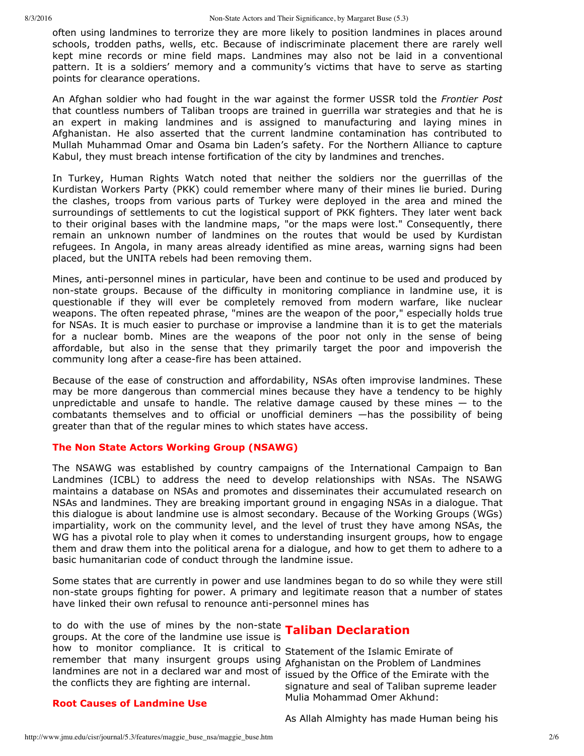often using landmines to terrorize they are more likely to position landmines in places around schools, trodden paths, wells, etc. Because of indiscriminate placement there are rarely well kept mine records or mine field maps. Landmines may also not be laid in a conventional pattern. It is a soldiers' memory and a community's victims that have to serve as starting points for clearance operations.

An Afghan soldier who had fought in the war against the former USSR told the *Frontier Post* that countless numbers of Taliban troops are trained in guerrilla war strategies and that he is an expert in making landmines and is assigned to manufacturing and laying mines in Afghanistan. He also asserted that the current landmine contamination has contributed to Mullah Muhammad Omar and Osama bin Laden's safety. For the Northern Alliance to capture Kabul, they must breach intense fortification of the city by landmines and trenches.

In Turkey, Human Rights Watch noted that neither the soldiers nor the guerrillas of the Kurdistan Workers Party (PKK) could remember where many of their mines lie buried. During the clashes, troops from various parts of Turkey were deployed in the area and mined the surroundings of settlements to cut the logistical support of PKK fighters. They later went back to their original bases with the landmine maps, "or the maps were lost." Consequently, there remain an unknown number of landmines on the routes that would be used by Kurdistan refugees. In Angola, in many areas already identified as mine areas, warning signs had been placed, but the UNITA rebels had been removing them.

Mines, anti-personnel mines in particular, have been and continue to be used and produced by non-state groups. Because of the difficulty in monitoring compliance in landmine use, it is questionable if they will ever be completely removed from modern warfare, like nuclear weapons. The often repeated phrase, "mines are the weapon of the poor," especially holds true for NSAs. It is much easier to purchase or improvise a landmine than it is to get the materials for a nuclear bomb. Mines are the weapons of the poor not only in the sense of being affordable, but also in the sense that they primarily target the poor and impoverish the community long after a cease-fire has been attained.

Because of the ease of construction and affordability, NSAs often improvise landmines. These may be more dangerous than commercial mines because they have a tendency to be highly unpredictable and unsafe to handle. The relative damage caused by these mines  $-$  to the combatants themselves and to official or unofficial deminers —has the possibility of being greater than that of the regular mines to which states have access.

#### **The Non State Actors Working Group (NSAWG)**

The NSAWG was established by country campaigns of the International Campaign to Ban Landmines (ICBL) to address the need to develop relationships with NSAs. The NSAWG maintains a database on NSAs and promotes and disseminates their accumulated research on NSAs and landmines. They are breaking important ground in engaging NSAs in a dialogue. That this dialogue is about landmine use is almost secondary. Because of the Working Groups (WGs) impartiality, work on the community level, and the level of trust they have among NSAs, the WG has a pivotal role to play when it comes to understanding insurgent groups, how to engage them and draw them into the political arena for a dialogue, and how to get them to adhere to a basic humanitarian code of conduct through the landmine issue.

Some states that are currently in power and use landmines began to do so while they were still non-state groups fighting for power. A primary and legitimate reason that a number of states have linked their own refusal to renounce anti-personnel mines has

to do with the use of mines by the non-state **Taliban Declaration** how to monitor compliance. It is critical to Statement of the Islamic Emirate of remember that many insurgent groups using Afghanistan on the Problem of Landmines landmines are not in a declared war and most of issued by the Office of the Emirate with the groups. At the core of the landmine use issue is the conflicts they are fighting are internal.

signature and seal of Taliban supreme leader Mulia Mohammad Omer Akhund:

# **Root Causes of Landmine Use**

As Allah Almighty has made Human being his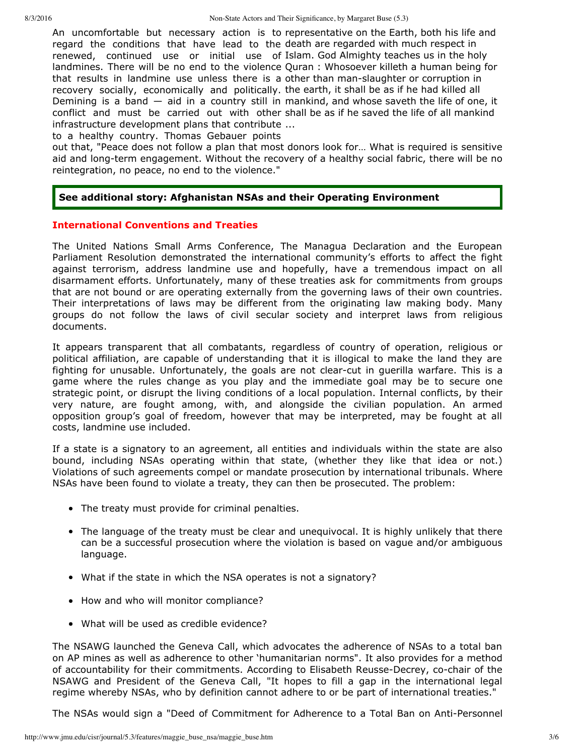An uncomfortable but necessary action is to representative on the Earth, both his life and regard the conditions that have lead to the death are regarded with much respect in renewed, continued use or initial use of Islam. God Almighty teaches us in the holy landmines. There will be no end to the violence Quran : Whosoever killeth a human being for that results in landmine use unless there is a other than man-slaughter or corruption in recovery socially, economically and politically. the earth, it shall be as if he had killed all Demining is a band  $-$  aid in a country still in mankind, and whose saveth the life of one, it conflict and must be carried out with other shall be as if he saved the life of all mankind ... infrastructure development plans that contribute

to a healthy country. Thomas Gebauer points

out that, "Peace does not follow a plan that most donors look for… What is required is sensitive aid and long-term engagement. Without the recovery of a healthy social fabric, there will be no reintegration, no peace, no end to the violence."

# **See additional story: Afghanistan NSAs and their Operating Environment**

# **International Conventions and Treaties**

The United Nations Small Arms Conference, The Managua Declaration and the European Parliament Resolution demonstrated the international community's efforts to affect the fight against terrorism, address landmine use and hopefully, have a tremendous impact on all disarmament efforts. Unfortunately, many of these treaties ask for commitments from groups that are not bound or are operating externally from the governing laws of their own countries. Their interpretations of laws may be different from the originating law making body. Many groups do not follow the laws of civil secular society and interpret laws from religious documents.

It appears transparent that all combatants, regardless of country of operation, religious or political affiliation, are capable of understanding that it is illogical to make the land they are fighting for unusable. Unfortunately, the goals are not clear-cut in querilla warfare. This is a game where the rules change as you play and the immediate goal may be to secure one strategic point, or disrupt the living conditions of a local population. Internal conflicts, by their very nature, are fought among, with, and alongside the civilian population. An armed opposition group's goal of freedom, however that may be interpreted, may be fought at all costs, landmine use included.

If a state is a signatory to an agreement, all entities and individuals within the state are also bound, including NSAs operating within that state, (whether they like that idea or not.) Violations of such agreements compel or mandate prosecution by international tribunals. Where NSAs have been found to violate a treaty, they can then be prosecuted. The problem:

- The treaty must provide for criminal penalties.
- The language of the treaty must be clear and unequivocal. It is highly unlikely that there can be a successful prosecution where the violation is based on vague and/or ambiguous language.
- What if the state in which the NSA operates is not a signatory?
- How and who will monitor compliance?
- What will be used as credible evidence?

The NSAWG launched the Geneva Call, which advocates the adherence of NSAs to a total ban on AP mines as well as adherence to other 'humanitarian norms". It also provides for a method of accountability for their commitments. According to Elisabeth Reusse-Decrey, co-chair of the NSAWG and President of the Geneva Call, "It hopes to fill a gap in the international legal regime whereby NSAs, who by definition cannot adhere to or be part of international treaties."

The NSAs would sign a "Deed of Commitment for Adherence to a Total Ban on Anti-Personnel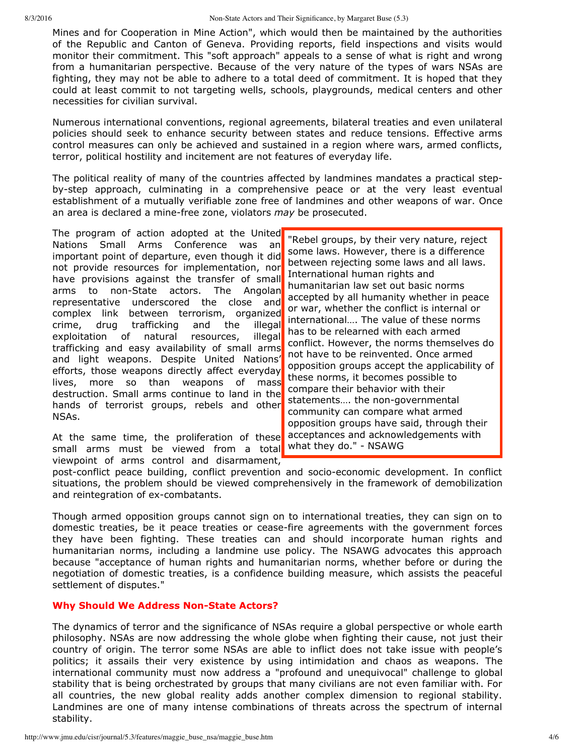Mines and for Cooperation in Mine Action", which would then be maintained by the authorities of the Republic and Canton of Geneva. Providing reports, field inspections and visits would monitor their commitment. This "soft approach" appeals to a sense of what is right and wrong from a humanitarian perspective. Because of the very nature of the types of wars NSAs are fighting, they may not be able to adhere to a total deed of commitment. It is hoped that they could at least commit to not targeting wells, schools, playgrounds, medical centers and other necessities for civilian survival.

Numerous international conventions, regional agreements, bilateral treaties and even unilateral policies should seek to enhance security between states and reduce tensions. Effective arms control measures can only be achieved and sustained in a region where wars, armed conflicts, terror, political hostility and incitement are not features of everyday life.

The political reality of many of the countries affected by landmines mandates a practical stepby-step approach, culminating in a comprehensive peace or at the very least eventual establishment of a mutually verifiable zone free of landmines and other weapons of war. Once an area is declared a mine-free zone, violators *may* be prosecuted.

The program of action adopted at the United Nations Small Arms Conference was an important point of departure, even though it did not provide resources for implementation, nor have provisions against the transfer of small arms to non-State actors. The Angolan representative underscored the close and complex link between terrorism, organized crime, drug trafficking and the illegal exploitation of natural resources, illegal trafficking and easy availability of small arms and light weapons. Despite United Nations' efforts, those weapons directly affect everyday lives, more so than weapons of mass destruction. Small arms continue to land in the hands of terrorist groups, rebels and other NSAs.

small arms must be viewed from a total what they do." - NSAWG At the same time, the proliferation of these viewpoint of arms control and disarmament,

"Rebel groups, by their very nature, reject some laws. However, there is a difference between rejecting some laws and all laws. International human rights and humanitarian law set out basic norms accepted by all humanity whether in peace or war, whether the conflict is internal or international…. The value of these norms has to be relearned with each armed conflict. However, the norms themselves do not have to be reinvented. Once armed opposition groups accept the applicability of these norms, it becomes possible to compare their behavior with their statements..., the non-governmental community can compare what armed opposition groups have said, through their acceptances and acknowledgements with

post-conflict peace building, conflict prevention and socio-economic development. In conflict situations, the problem should be viewed comprehensively in the framework of demobilization and reintegration of ex-combatants.

Though armed opposition groups cannot sign on to international treaties, they can sign on to domestic treaties, be it peace treaties or cease-fire agreements with the government forces they have been fighting. These treaties can and should incorporate human rights and humanitarian norms, including a landmine use policy. The NSAWG advocates this approach because "acceptance of human rights and humanitarian norms, whether before or during the negotiation of domestic treaties, is a confidence building measure, which assists the peaceful settlement of disputes."

# **Why Should We Address Non-State Actors?**

The dynamics of terror and the significance of NSAs require a global perspective or whole earth philosophy. NSAs are now addressing the whole globe when fighting their cause, not just their country of origin. The terror some NSAs are able to inflict does not take issue with people's politics; it assails their very existence by using intimidation and chaos as weapons. The international community must now address a "profound and unequivocal" challenge to global stability that is being orchestrated by groups that many civilians are not even familiar with. For all countries, the new global reality adds another complex dimension to regional stability. Landmines are one of many intense combinations of threats across the spectrum of internal stability.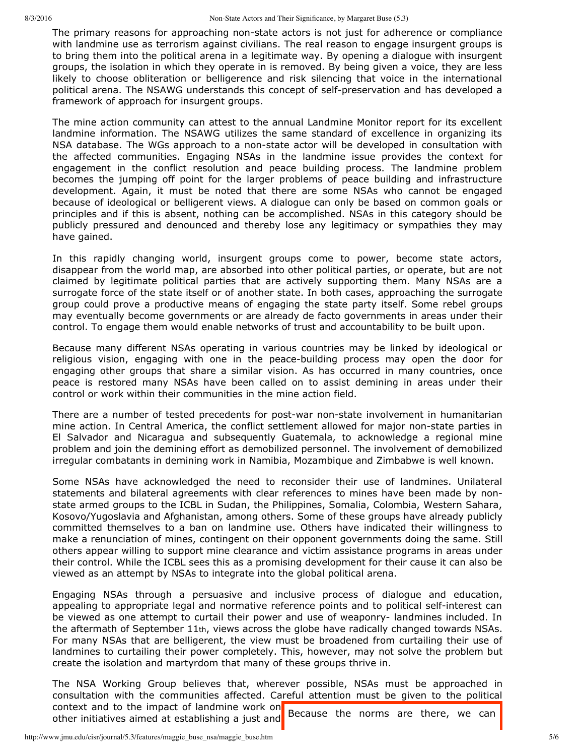The primary reasons for approaching non-state actors is not just for adherence or compliance with landmine use as terrorism against civilians. The real reason to engage insurgent groups is to bring them into the political arena in a legitimate way. By opening a dialogue with insurgent groups, the isolation in which they operate in is removed. By being given a voice, they are less likely to choose obliteration or belligerence and risk silencing that voice in the international political arena. The NSAWG understands this concept of self-preservation and has developed a framework of approach for insurgent groups.

The mine action community can attest to the annual Landmine Monitor report for its excellent landmine information. The NSAWG utilizes the same standard of excellence in organizing its NSA database. The WGs approach to a non-state actor will be developed in consultation with the affected communities. Engaging NSAs in the landmine issue provides the context for engagement in the conflict resolution and peace building process. The landmine problem becomes the jumping off point for the larger problems of peace building and infrastructure development. Again, it must be noted that there are some NSAs who cannot be engaged because of ideological or belligerent views. A dialogue can only be based on common goals or principles and if this is absent, nothing can be accomplished. NSAs in this category should be publicly pressured and denounced and thereby lose any legitimacy or sympathies they may have gained.

In this rapidly changing world, insurgent groups come to power, become state actors, disappear from the world map, are absorbed into other political parties, or operate, but are not claimed by legitimate political parties that are actively supporting them. Many NSAs are a surrogate force of the state itself or of another state. In both cases, approaching the surrogate group could prove a productive means of engaging the state party itself. Some rebel groups may eventually become governments or are already de facto governments in areas under their control. To engage them would enable networks of trust and accountability to be built upon.

Because many different NSAs operating in various countries may be linked by ideological or religious vision, engaging with one in the peace-building process may open the door for engaging other groups that share a similar vision. As has occurred in many countries, once peace is restored many NSAs have been called on to assist demining in areas under their control or work within their communities in the mine action field.

There are a number of tested precedents for post-war non-state involvement in humanitarian mine action. In Central America, the conflict settlement allowed for major nonstate parties in El Salvador and Nicaragua and subsequently Guatemala, to acknowledge a regional mine problem and join the demining effort as demobilized personnel. The involvement of demobilized irregular combatants in demining work in Namibia, Mozambique and Zimbabwe is well known.

Some NSAs have acknowledged the need to reconsider their use of landmines. Unilateral statements and bilateral agreements with clear references to mines have been made by nonstate armed groups to the ICBL in Sudan, the Philippines, Somalia, Colombia, Western Sahara, Kosovo/Yugoslavia and Afghanistan, among others. Some of these groups have already publicly committed themselves to a ban on landmine use. Others have indicated their willingness to make a renunciation of mines, contingent on their opponent governments doing the same. Still others appear willing to support mine clearance and victim assistance programs in areas under their control. While the ICBL sees this as a promising development for their cause it can also be viewed as an attempt by NSAs to integrate into the global political arena.

Engaging NSAs through a persuasive and inclusive process of dialogue and education, appealing to appropriate legal and normative reference points and to political self-interest can be viewed as one attempt to curtail their power and use of weaponry-landmines included. In the aftermath of September 11th, views across the globe have radically changed towards NSAs. For many NSAs that are belligerent, the view must be broadened from curtailing their use of landmines to curtailing their power completely. This, however, may not solve the problem but create the isolation and martyrdom that many of these groups thrive in.

context and to the impact of landmine work on **Because** the norms are there, we can The NSA Working Group believes that, wherever possible, NSAs must be approached in consultation with the communities affected. Careful attention must be given to the political other initiatives aimed at establishing a just and